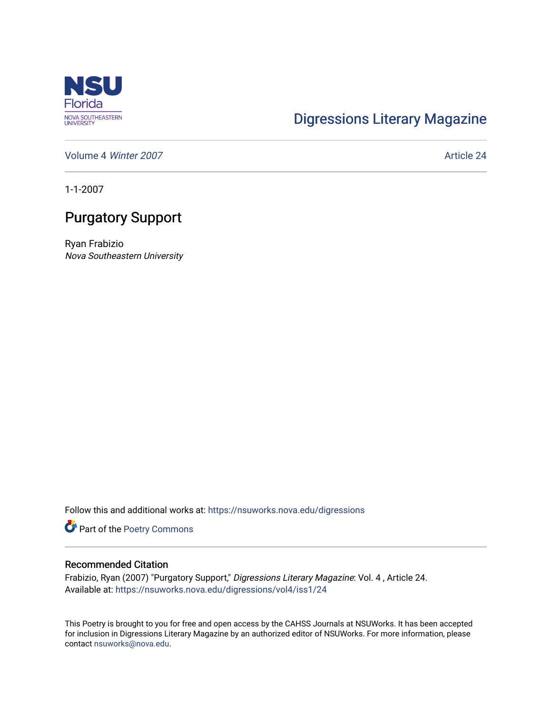

## [Digressions Literary Magazine](https://nsuworks.nova.edu/digressions)

[Volume 4](https://nsuworks.nova.edu/digressions/vol4) Winter 2007 **Article 24** Article 24

1-1-2007

## Purgatory Support

Ryan Frabizio Nova Southeastern University

Follow this and additional works at: [https://nsuworks.nova.edu/digressions](https://nsuworks.nova.edu/digressions?utm_source=nsuworks.nova.edu%2Fdigressions%2Fvol4%2Fiss1%2F24&utm_medium=PDF&utm_campaign=PDFCoverPages) 

Part of the [Poetry Commons](http://network.bepress.com/hgg/discipline/1153?utm_source=nsuworks.nova.edu%2Fdigressions%2Fvol4%2Fiss1%2F24&utm_medium=PDF&utm_campaign=PDFCoverPages) 

## Recommended Citation

Frabizio, Ryan (2007) "Purgatory Support," Digressions Literary Magazine: Vol. 4 , Article 24. Available at: [https://nsuworks.nova.edu/digressions/vol4/iss1/24](https://nsuworks.nova.edu/digressions/vol4/iss1/24?utm_source=nsuworks.nova.edu%2Fdigressions%2Fvol4%2Fiss1%2F24&utm_medium=PDF&utm_campaign=PDFCoverPages) 

This Poetry is brought to you for free and open access by the CAHSS Journals at NSUWorks. It has been accepted for inclusion in Digressions Literary Magazine by an authorized editor of NSUWorks. For more information, please contact [nsuworks@nova.edu.](mailto:nsuworks@nova.edu)